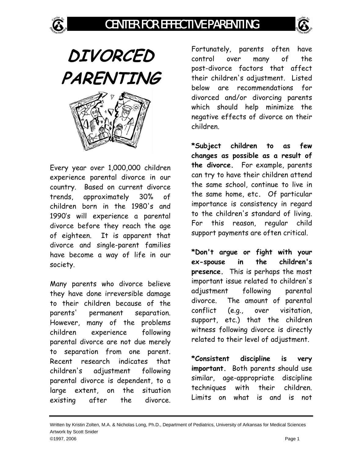## CENTER FOR EFFECTIVE PARENTING



**DIVORCED PARENTING** 

Every year over 1,000,000 children experience parental divorce in our country. Based on current divorce trends, approximately 30% of children born in the 1980's and 1990's will experience a parental divorce before they reach the age of eighteen. It is apparent that divorce and single-parent families have become a way of life in our society.

Many parents who divorce believe they have done irreversible damage to their children because of the parents' permanent separation. However, many of the problems children experience following parental divorce are not due merely to separation from one parent. Recent research indicates that children's adjustment following parental divorce is dependent, to a large extent, on the situation existing after the divorce. Fortunately, parents often have control over many of the post-divorce factors that affect their children's adjustment. Listed below are recommendations for divorced and/or divorcing parents which should help minimize the negative effects of divorce on their children.

**\*Subject children to as few changes as possible as a result of the divorce.** For example, parents can try to have their children attend the same school, continue to live in the same home, etc**.** Of particular importance is consistency in regard to the children's standard of living. For this reason, regular child support payments are often critical.

**\*Don't argue or fight with your ex-spouse in the children's presence.** This is perhaps the most important issue related to children's adjustment following parental divorce. The amount of parental conflict (e.g., over visitation, support, etc.) that the children witness following divorce is directly related to their level of adjustment.

**\*Consistent discipline is very important.** Both parents should use similar, age-appropriate discipline techniques with their children. Limits on what is and is not